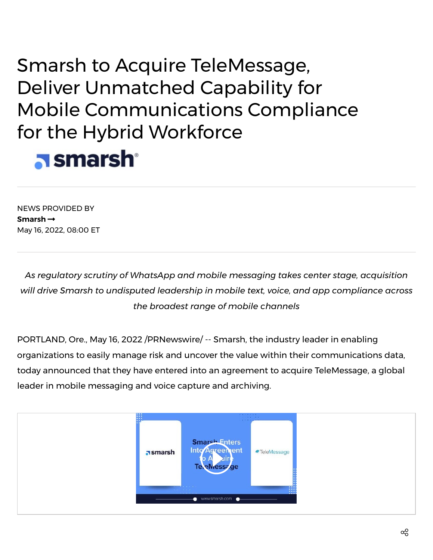## Smarsh to Acquire TeleMessage, Deliver Unmatched Capability for Mobile Communications Compliance for the Hybrid Workforce **a** smarsh

NEWS PROVIDED BY **[Smarsh](https://www.prnewswire.com/news/smarsh/)** May 16, 2022, 08:00 ET

*As regulatory scrutiny of WhatsApp and mobile messaging takes center stage, acquisition will drive Smarsh to undisputed leadership in mobile text, voice, and app compliance across the broadest range of mobile channels*

PORTLAND, Ore., May 16, 2022 /PRNewswire/ -- [Smarsh](https://c212.net/c/link/?t=0&l=en&o=3537049-1&h=3166579567&u=https%3A%2F%2Fwww.smarsh.com%2F&a=Smarsh), the industry leader in enabling organizations to easily manage risk and uncover the value within their communications data, today announced that they have entered into an agreement to acquire TeleMessage, a global leader in mobile messaging and voice capture and archiving.

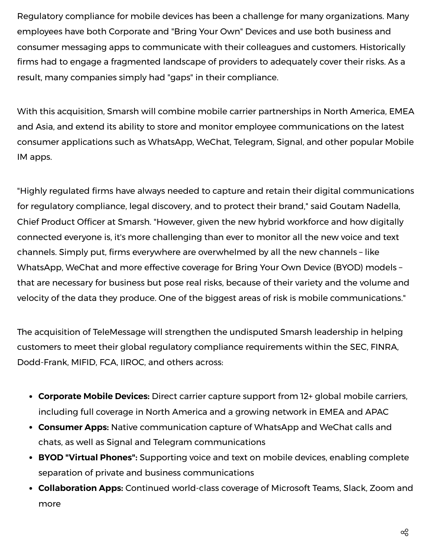Regulatory compliance for mobile devices has been a challenge for many organizations. Many employees have both Corporate and "Bring Your Own" Devices and use both business and consumer messaging apps to communicate with their colleagues and customers. Historically firms had to engage a fragmented landscape of providers to adequately cover their risks. As a result, many companies simply had "gaps" in their compliance.

With this acquisition, Smarsh will combine mobile carrier partnerships in North America, EMEA and Asia, and extend its ability to store and monitor employee communications on the latest consumer applications such as WhatsApp, WeChat, Telegram, Signal, and other popular Mobile IM apps.

"Highly regulated firms have always needed to capture and retain their digital communications for regulatory compliance, legal discovery, and to protect their brand," said Goutam Nadella, Chief Product Officer at Smarsh. "However, given the new hybrid workforce and how digitally connected everyone is, it's more challenging than ever to monitor all the new voice and text channels. Simply put, firms everywhere are overwhelmed by all the new channels – like WhatsApp, WeChat and more effective coverage for Bring Your Own Device (BYOD) models – that are necessary for business but pose real risks, because of their variety and the volume and velocity of the data they produce. One of the biggest areas of risk is mobile communications."

The acquisition of TeleMessage will strengthen the undisputed Smarsh leadership in helping customers to meet their global regulatory compliance requirements within the SEC, FINRA, Dodd-Frank, MIFID, FCA, IIROC, and others across:

- **Corporate Mobile Devices:** Direct carrier capture support from 12+ global mobile carriers, including full coverage in North America and a growing network in EMEA and APAC
- **Consumer Apps:** Native communication capture of WhatsApp and WeChat calls and chats, as well as Signal and Telegram communications
- **BYOD "Virtual Phones":** Supporting voice and text on mobile devices, enabling complete separation of private and business communications
- **Collaboration Apps:** Continued world-class coverage of Microsoft Teams, Slack, Zoom and more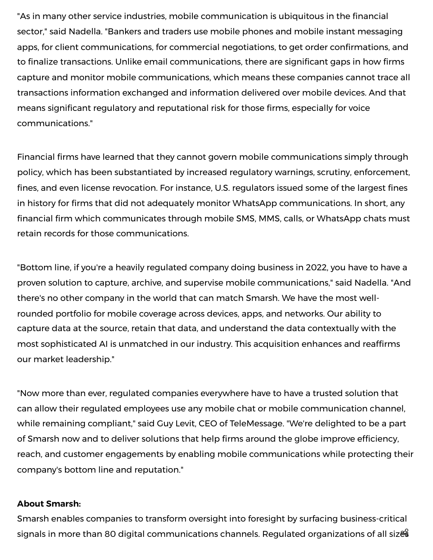"As in many other service industries, mobile communication is ubiquitous in the financial sector," said Nadella. "Bankers and traders use mobile phones and mobile instant messaging apps, for client communications, for commercial negotiations, to get order confirmations, and to finalize transactions. Unlike email communications, there are significant gaps in how firms capture and monitor mobile communications, which means these companies cannot trace all transactions information exchanged and information delivered over mobile devices. And that means significant regulatory and reputational risk for those firms, especially for voice communications."

Financial firms have learned that they cannot govern mobile communications simply through policy, which has been substantiated by increased regulatory warnings, scrutiny, enforcement, fines, and even license revocation. For instance, U.S. regulators issued some of the largest fines in history for firms that did not adequately monitor WhatsApp communications. In short, any financial firm which communicates through mobile SMS, MMS, calls, or WhatsApp chats must retain records for those communications.

"Bottom line, if you're a heavily regulated company doing business in 2022, you have to have a proven solution to capture, archive, and supervise mobile communications," said Nadella. "And there's no other company in the world that can match Smarsh. We have the most wellrounded portfolio for mobile coverage across devices, apps, and networks. Our ability to capture data at the source, retain that data, and understand the data contextually with the most sophisticated AI is unmatched in our industry. This acquisition enhances and reaffirms our market leadership."

"Now more than ever, regulated companies everywhere have to have a trusted solution that can allow their regulated employees use any mobile chat or mobile communication channel, while remaining compliant," said Guy Levit, CEO of TeleMessage. "We're delighted to be a part of Smarsh now and to deliver solutions that help firms around the globe improve efficiency, reach, and customer engagements by enabling mobile communications while protecting their company's bottom line and reputation."

## **About Smarsh:**

Smarsh enables companies to transform oversight into foresight by surfacing business-critical signals in more than 80 digital communications channels. Regulated organizations of all sizes